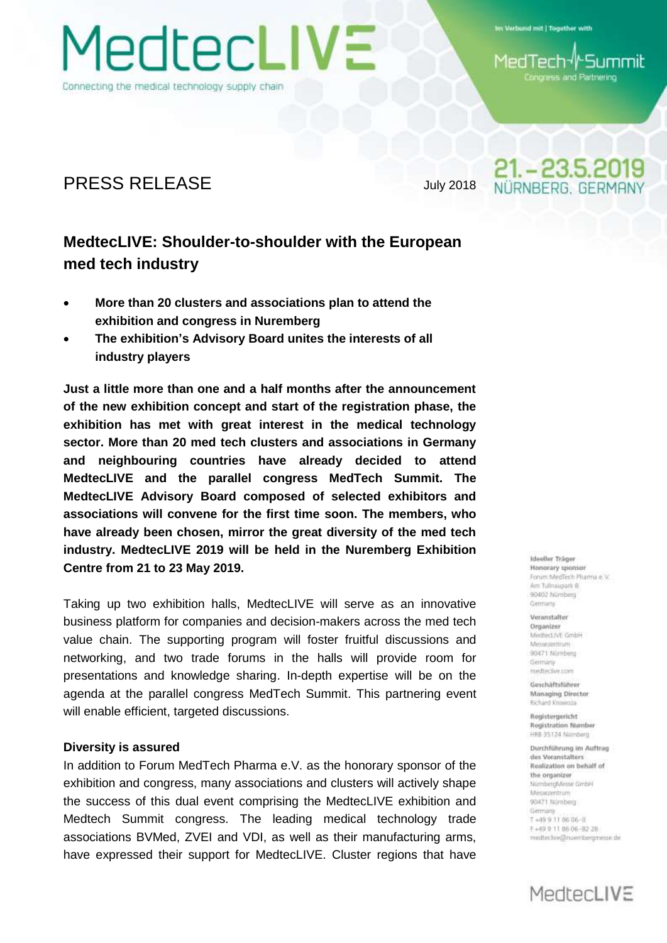Connecting the medical technology supply chain

MedtecLIVE

Im Verbund mit | Together with

-Summit MedTech√ Congress and Partnering

21. - 23.5.2019 NÜRNBERG, GERMANY

### PRESS RELEASE July 2018

## **MedtecLIVE: Shoulder-to-shoulder with the European med tech industry**

- **More than 20 clusters and associations plan to attend the exhibition and congress in Nuremberg**
- **The exhibition's Advisory Board unites the interests of all industry players**

**Just a little more than one and a half months after the announcement of the new exhibition concept and start of the registration phase, the exhibition has met with great interest in the medical technology sector. More than 20 med tech clusters and associations in Germany and neighbouring countries have already decided to attend MedtecLIVE and the parallel congress MedTech Summit. The MedtecLIVE Advisory Board composed of selected exhibitors and associations will convene for the first time soon. The members, who have already been chosen, mirror the great diversity of the med tech industry. MedtecLIVE 2019 will be held in the Nuremberg Exhibition Centre from 21 to 23 May 2019.**

Taking up two exhibition halls, MedtecLIVE will serve as an innovative business platform for companies and decision-makers across the med tech value chain. The supporting program will foster fruitful discussions and networking, and two trade forums in the halls will provide room for presentations and knowledge sharing. In-depth expertise will be on the agenda at the parallel congress MedTech Summit. This partnering event will enable efficient, targeted discussions.

#### **Diversity is assured**

In addition to Forum MedTech Pharma e.V. as the honorary sponsor of the exhibition and congress, many associations and clusters will actively shape the success of this dual event comprising the MedtecLIVE exhibition and Medtech Summit congress. The leading medical technology trade associations BVMed, ZVEI and VDI, as well as their manufacturing arms, have expressed their support for MedtecLIVE. Cluster regions that have

Ideeller Träger Honorary sponsor Forum MeriTech Pharma e Vi Am Tullnaunark & 90402 Nürnberg Germany

Veranstalter Organizer MechecLivE GmbH **Messenerin** 90471 Nürriberg Germany medieclive.com

Geschäftsführer Managing Director **Richard Krownis** 

Registergericht Registration Number HRB 35124 Nürriberg

Durchführung im Auftrag des Voranitalters Realization on behalf of the organizer NürnbergMesse GimbH **Messageritrum** 90471 Nornberg Germany 7+49 9 11 86 06-0 E+49 9 11 86 06 - 82 28 medteckve@nuembergmesse.de

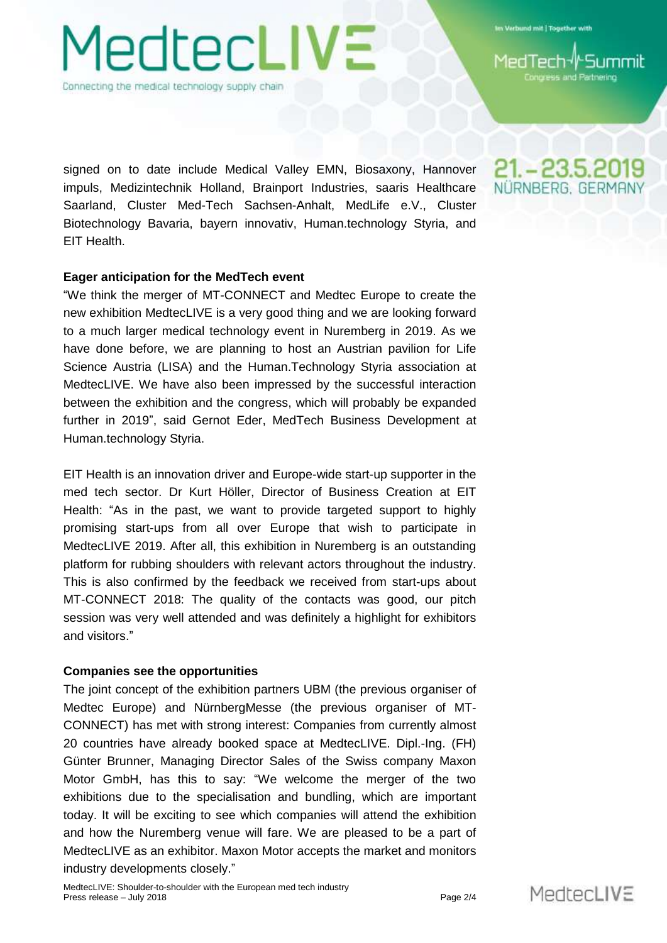Verbund mit | Together with

and Partnering

Connecting the medical technology supply chain

1edtec**LIV**E

signed on to date include Medical Valley EMN, Biosaxony, Hannover impuls, Medizintechnik Holland, Brainport Industries, saaris Healthcare Saarland, Cluster Med-Tech Sachsen-Anhalt, MedLife e.V., Cluster Biotechnology Bavaria, bayern innovativ, Human.technology Styria, and EIT Health.

### **Eager anticipation for the MedTech event**

"We think the merger of MT-CONNECT and Medtec Europe to create the new exhibition MedtecLIVE is a very good thing and we are looking forward to a much larger medical technology event in Nuremberg in 2019. As we have done before, we are planning to host an Austrian pavilion for Life Science Austria (LISA) and the Human.Technology Styria association at MedtecLIVE. We have also been impressed by the successful interaction between the exhibition and the congress, which will probably be expanded further in 2019", said Gernot Eder, MedTech Business Development at Human.technology Styria.

EIT Health is an innovation driver and Europe-wide start-up supporter in the med tech sector. Dr Kurt Höller, Director of Business Creation at EIT Health: "As in the past, we want to provide targeted support to highly promising start-ups from all over Europe that wish to participate in MedtecLIVE 2019. After all, this exhibition in Nuremberg is an outstanding platform for rubbing shoulders with relevant actors throughout the industry. This is also confirmed by the feedback we received from start-ups about MT-CONNECT 2018: The quality of the contacts was good, our pitch session was very well attended and was definitely a highlight for exhibitors and visitors."

#### **Companies see the opportunities**

The joint concept of the exhibition partners UBM (the previous organiser of Medtec Europe) and NürnbergMesse (the previous organiser of MT-CONNECT) has met with strong interest: Companies from currently almost 20 countries have already booked space at MedtecLIVE. Dipl.-Ing. (FH) Günter Brunner, Managing Director Sales of the Swiss company Maxon Motor GmbH, has this to say: "We welcome the merger of the two exhibitions due to the specialisation and bundling, which are important today. It will be exciting to see which companies will attend the exhibition and how the Nuremberg venue will fare. We are pleased to be a part of MedtecLIVE as an exhibitor. Maxon Motor accepts the market and monitors industry developments closely."



21. - 23.5.2019 NÜRNBERG. GERMAI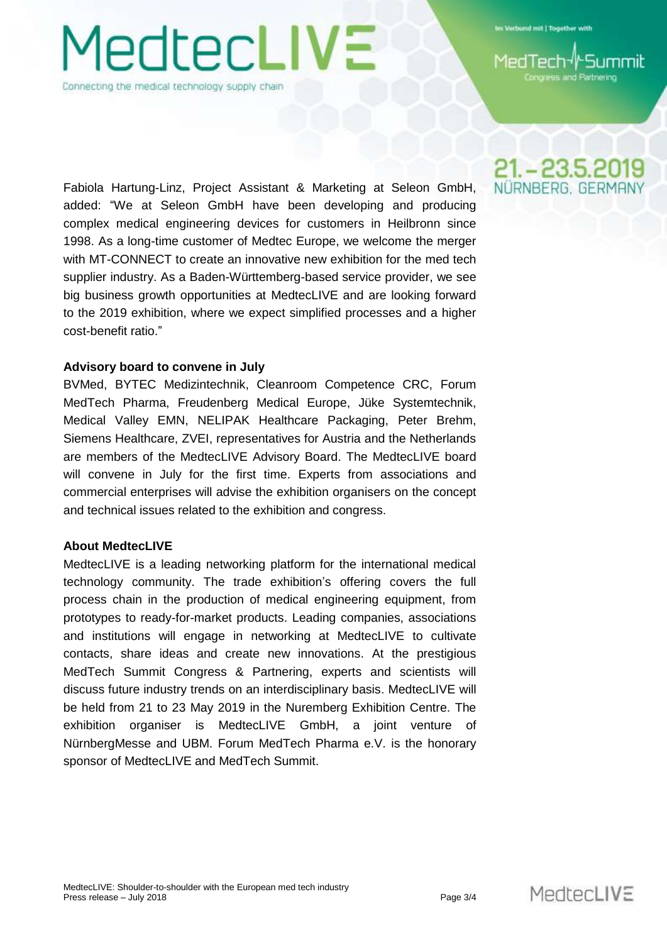# 1edtec**LIVE**

Connecting the medical technology supply chain

Verbund mit | Together with

and Partnering

Fabiola Hartung-Linz, Project Assistant & Marketing at Seleon GmbH, added: "We at Seleon GmbH have been developing and producing complex medical engineering devices for customers in Heilbronn since 1998. As a long-time customer of Medtec Europe, we welcome the merger with MT-CONNECT to create an innovative new exhibition for the med tech supplier industry. As a Baden-Württemberg-based service provider, we see big business growth opportunities at MedtecLIVE and are looking forward to the 2019 exhibition, where we expect simplified processes and a higher cost-benefit ratio."

### **Advisory board to convene in July**

BVMed, BYTEC Medizintechnik, Cleanroom Competence CRC, Forum MedTech Pharma, Freudenberg Medical Europe, Jüke Systemtechnik, Medical Valley EMN, NELIPAK Healthcare Packaging, Peter Brehm, Siemens Healthcare, ZVEI, representatives for Austria and the Netherlands are members of the MedtecLIVE Advisory Board. The MedtecLIVE board will convene in July for the first time. Experts from associations and commercial enterprises will advise the exhibition organisers on the concept and technical issues related to the exhibition and congress.

### **About MedtecLIVE**

MedtecLIVE is a leading networking platform for the international medical technology community. The trade exhibition's offering covers the full process chain in the production of medical engineering equipment, from prototypes to ready-for-market products. Leading companies, associations and institutions will engage in networking at MedtecLIVE to cultivate contacts, share ideas and create new innovations. At the prestigious MedTech Summit Congress & Partnering, experts and scientists will discuss future industry trends on an interdisciplinary basis. MedtecLIVE will be held from 21 to 23 May 2019 in the Nuremberg Exhibition Centre. The exhibition organiser is MedtecLIVE GmbH, a joint venture of NürnbergMesse and UBM. Forum MedTech Pharma e.V. is the honorary sponsor of MedtecLIVE and MedTech Summit.

21. - 23.5.2019 NÜRNBERG, GERMAN